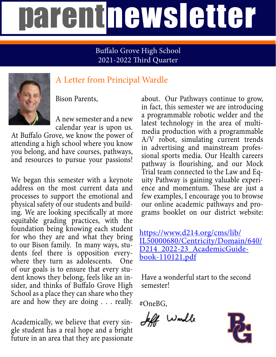# parentnewsletter

#### Buffalo Grove High School 2021-2022 Third Quarter



### A Letter from Principal Wardle

Bison Parents,

A new semester and a new calendar year is upon us.

At Buffalo Grove, we know the power of attending a high school where you know you belong, and have courses, pathways, and resources to pursue your passions!

We began this semester with a keynote address on the most current data and processes to support the emotional and physical safety of our students and building. We are looking specifically at more equitable grading practices, with the foundation being knowing each student for who they are and what they bring to our Bison family. In many ways, students feel there is opposition everywhere they turn as adolescents. One of our goals is to ensure that every student knows they belong, feels like an insider, and thinks of Buffalo Grove High School as a place they can share who they are and how they are doing . . . really.

Academically, we believe that every sin gle student has a real hope and a bright future in an area that they are passionate

about. Our Pathways continue to grow, in fact, this semester we are introducing a programmable robotic welder and the latest technology in the area of multimedia production with a programmable A/V robot, simulating current trends in advertising and mainstream professional sports media. Our Health careers pathway is flourishing, and our Mock Trial team connected to the Law and Equity Pathway is gaining valuable experience and momentum. These are just a few examples, I encourage you to browse our online academic pathways and programs booklet on our district website:

[https://www.d214.org/cms/lib/](https://www.d214.org/cms/lib/IL50000680/Centricity/Domain/640/D214_2022-23_AcademicGuidebook-110121.pdf) [IL50000680/Centricity/Domain/640/](https://www.d214.org/cms/lib/IL50000680/Centricity/Domain/640/D214_2022-23_AcademicGuidebook-110121.pdf) [D214\\_2022-23\\_AcademicGuide-](https://www.d214.org/cms/lib/IL50000680/Centricity/Domain/640/D214_2022-23_AcademicGuidebook-110121.pdf)<br>[book-110121.pdf](https://www.d214.org/cms/lib/IL50000680/Centricity/Domain/640/D214_2022-23_AcademicGuidebook-110121.pdf)

Have a wonderful start to the second semester!

#OneBG,

If would

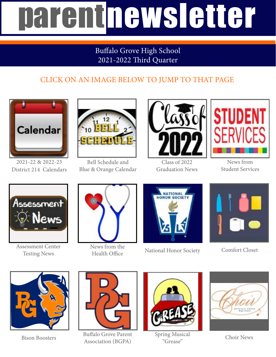# parentnewsletter

#### Buffalo Grove High School 2021-2022 Third Quarter

### CLICK ON AN IMAGE BELOW TO JUMP TO THAT PAGE



2021-22 & 2022-23 District 214 Calendars



Bell Schedule and Blue & Orange Calendar



Class of 2022 Graduation News



News from Student Services



Assessment Center Testing News



News from the



Health Office National Honor Society



Comfort Closet



Bison Boosters



Buffalo Grove Parent Association (BGPA)



[Spring Musical](https://drive.google.com/file/d/1lOOWM_c5vLLUt6A_QQQAc8CHjX11xPIe/view?usp=sharing) "Grease"



Choir News